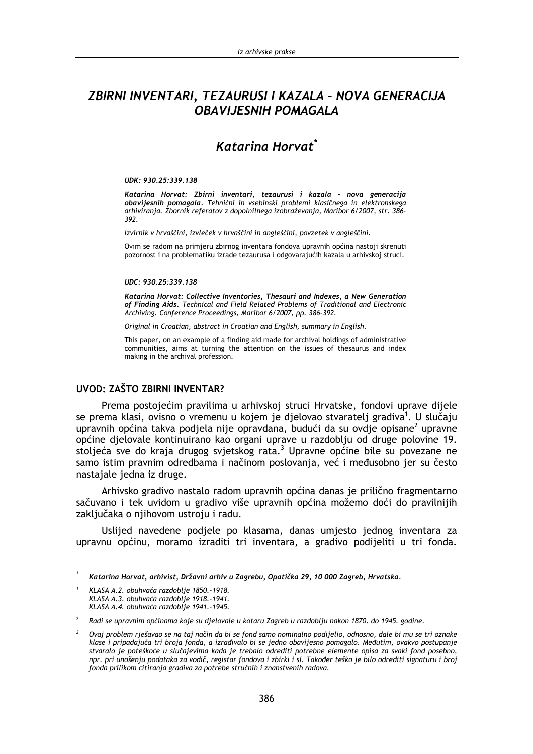# ZBIRNI INVENTARI, TEZAURUSI I KAZALA - NOVA GENERACIJA **OBAVIJESNIH POMAGALA**

# Katarina Horvat<sup>\*</sup>

### UDK: 930.25:339.138

Katarina Horvat: Zbirni inventari, tezaurusi i kazala - nova generacija obavijesnih pomagala. Tehnični in vsebinski problemi klasičnega in elektronskega arhiviranja. Zbornik referatov z dopolnilnega izobraževanja, Maribor 6/2007, str. 386-392

Izvirnik v hrvaščini, izvleček v hrvaščini in angleščini, povzetek v angleščini.

Ovim se radom na primieru zbirnog inventara fondova upravnih općina nastoji skrenuti pozornost i na problematiku izrade tezaurusa i odgovarajućih kazala u arhivskoj struci.

### UDC: 930.25:339.138

Katarina Horvat: Collective Inventories, Thesauri and Indexes, a New Generation of Finding Aids. Technical and Field Related Problems of Traditional and Electronic Archiving. Conference Proceedings, Maribor 6/2007, pp. 386-392.

Original in Croatian, abstract in Croatian and English, summary in English.

This paper, on an example of a finding aid made for archival holdings of administrative communities, aims at turning the attention on the issues of thesaurus and index making in the archival profession.

### **UVOD: ZAŠTO ZBIRNI INVENTAR?**

Prema postojećim pravilima u arhivskoj struci Hrvatske, fondovi uprave dijele se prema klasi, ovisno o vremenu u kojem je djelovao stvaratelj gradiva<sup>1</sup>. U slučaju upravnih općina takva podjela nije opravdana, budući da su ovdje opisane<sup>2</sup> upravne općine djelovale kontinuirano kao organi uprave u razdoblju od druge polovine 19. stolieća sve do kraja drugog svietskog rata.<sup>3</sup> Upravne općine bile su povezane ne samo istim pravnim odredbama i načinom poslovania, već i međusobno jer su često nastajale jedna iz druge.

Arhivsko gradivo nastalo radom upravnih općina danas je prilično fragmentarno sačuvano i tek uvidom u gradivo više upravnih općina možemo doći do pravilnijih zaključaka o njihovom ustroju i radu.

Uslijed navedene podjele po klasama, danas umjesto jednog inventara za upravnu općinu, moramo izraditi tri inventara, a gradivo podijeliti u tri fonda.

Katarina Horvat, arhivist, Državni arhiv u Zagrebu, Opatička 29, 10 000 Zagreb, Hrvatska.

KLASA A.2. obuhvaća razdoblje 1850.-1918. KLASA A.3. obuhvaća razdoblje 1918.-1941. KLASA A.4. obuhvaća razdoblje 1941.-1945.

 $\overline{2}$ Radi se upravnim općinama koje su djelovale u kotaru Zagreb u razdoblju nakon 1870. do 1945. godine.

 $\overline{\mathbf{3}}$ Ovaj problem rješavao se na taj način da bi se fond samo nominalno podijelio, odnosno, dale bi mu se tri oznake klase i pripadajuća tri broja fonda, a izrađivalo bi se jedno obavijesno pomagalo. Međutim, ovakvo postupanje stvaralo je poteškoće u slučajevima kada je trebalo odrediti potrebne elemente opisa za svaki fond posebno, npr. pri unošenju podataka za vodič, registar fondova i zbirki i sl. Također teško je bilo odrediti signaturu i broj fonda prilikom citiranja gradiva za potrebe stručnih i znanstvenih radova.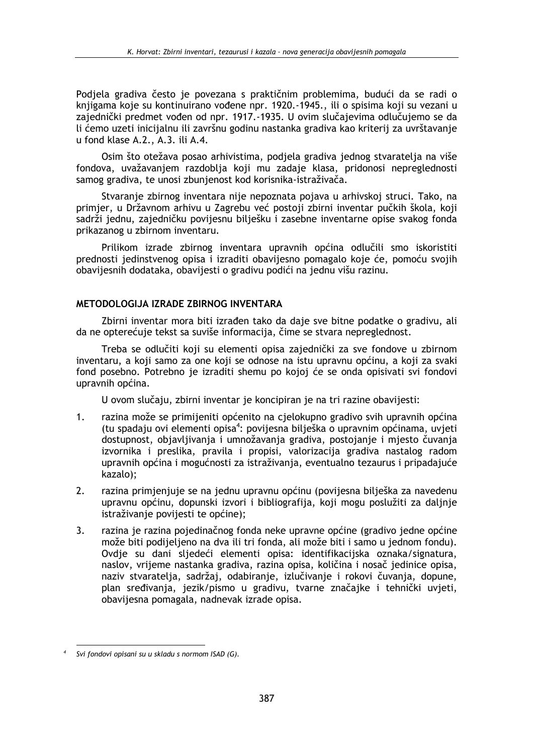Podiela gradiva često je povezana s praktičnim problemima, budući da se radi o knijgama koje su kontinujrano vođene npr. 1920.-1945., ili o spisima koji su vezani u zajednički predmet vođen od npr. 1917.-1935. U ovim slučajevima odlučujemo se da li ćemo uzeti inicijalnu ili završnu godinu nastanka gradiva kao kriterij za uvrštavanje u fond klase A.2., A.3. ili A.4.

Osim što otežava posao arhivistima, podjela gradiva jednog stvaratelja na više fondova, uvažavanjem razdoblja koji mu zadaje klasa, pridonosi nepreglednosti samog gradiva, te unosi zbunjenost kod korisnika-istraživača.

Stvaranje zbirnog inventara nije nepoznata pojava u arhivskoj struci. Tako, na primjer, u Državnom arhivu u Zagrebu već postoji zbirni inventar pučkih škola, koji sadrži jednu, zajedničku povijesnu bilješku i zasebne inventarne opise svakog fonda prikazanog u zbirnom inventaru.

Prilikom izrade zbirnog inventara upravnih općina odlučili smo iskoristiti prednosti jedinstvenog opisa i izraditi obavijesno pomagalo koje će, pomoću svojih obavijesnih dodataka, obavijesti o gradivu podići na jednu višu razinu.

### METODOLOGIJA IZRADE ZBIRNOG INVENTARA

Zbirni inventar mora biti izrađen tako da daje sve bitne podatke o gradivu, ali da ne opterećuje tekst sa suviše informacija, čime se stvara nepreglednost.

Treba se odlučiti koji su elementi opisa zajednički za sve fondove u zbirnom inventaru, a koji samo za one koji se odnose na istu upravnu općinu, a koji za svaki fond posebno. Potrebno je izraditi shemu po kojoj će se onda opisivati svi fondovi upravnih općina.

U ovom slučaju, zbirni inventar je koncipiran je na tri razine obavijesti:

- $1<sub>1</sub>$ razina može se primijeniti općenito na cjelokupno gradivo svih upravnih općina (tu spadaju ovi elementi opisa<sup>4</sup>: povijesna bilješka o upravnim općinama, uvjeti dostupnost, objavljivanja i umnožavanja gradiva, postojanje i mjesto čuvanja izvornika i preslika, pravila i propisi, valorizacija gradiva nastalog radom upravnih općina i mogućnosti za istraživanja, eventualno tezaurus i pripadajuće kazalo):
- $2<sub>1</sub>$ razina primjenjuje se na jednu upravnu općinu (povijesna bilješka za navedenu upravnu općinu, dopunski izvori i bibliografija, koji mogu poslužiti za daljnje istraživanje povijesti te općine);
- razina je razina pojedinačnog fonda neke upravne općine (gradivo jedne općine 3. može biti podijeljeno na dva ili tri fonda, ali može biti i samo u jednom fondu). Ovdje su dani sljedeći elementi opisa: identifikacijska oznaka/signatura, naslov, vrijeme nastanka gradiva, razina opisa, količina i nosač jedinice opisa, naziv stvaratelja, sadržaj, odabiranje, izlučivanje i rokovi čuvanja, dopune, plan sređivanja, jezik/pismo u gradivu, tvarne značajke i tehnički uvjeti, obavijesna pomagala, nadnevak izrade opisa.

Svi fondovi opisani su u skladu s normom ISAD (G).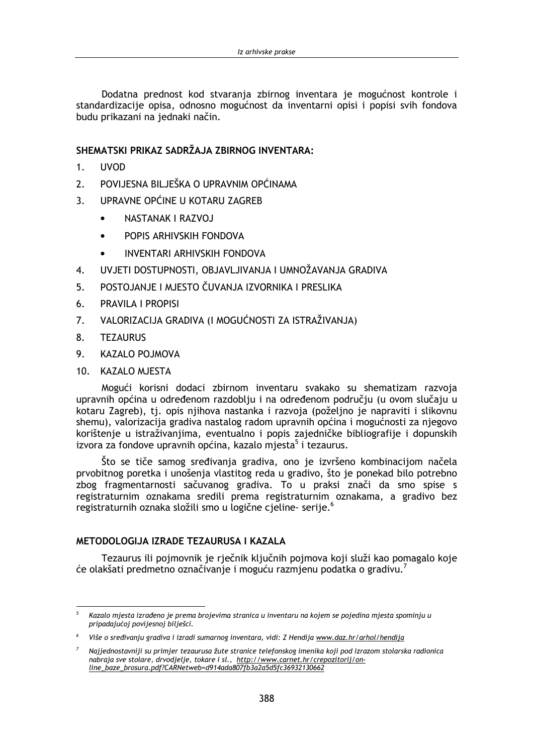Dodatna prednost kod stvarania zbirnog inventara je mogućnost kontrole i standardizacije opisa, odnosno mogućnost da inventarni opisi i popisi svih fondova budu prikazani na jednaki način.

## SHEMATSKI PRIKAZ SADRŽAJA ZBIRNOG INVENTARA:

- **IIVOD**  $1<sup>1</sup>$
- POVIJESNA BILJEŠKA O UPRAVNIM OPĆINAMA  $\mathcal{P}$
- $\overline{3}$ . UPRAVNE OPĆINE U KOTARU ZAGREB
	- NASTANAK I RAZVOJ
	- POPIS ARHIVSKIH FONDOVA  $\bullet$
	- **INVENTARI ARHIVSKIH FONDOVA**
- UVJETI DOSTUPNOSTI. OBJAVLJIVANJA I UMNOŽAVANJA GRADIVA 4.
- POSTOJANJE I MJESTO ČUVANJA IZVORNIKA I PRESLIKA  $5<sub>1</sub>$
- **PRAVILA I PROPISI** 6.
- $7.$ VALORIZACIJA GRADIVA (I MOGUĆNOSTI ZA ISTRAŽIVANJA)
- 8. **TEZAURUS**
- 9. **KAZALO POJMOVA**
- 10. KAZALO MJESTA

Mogući korisni dodaci zbirnom inventaru svakako su shematizam razvoja upravnih općina u određenom razdoblju i na određenom području (u ovom slučaju u kotaru Zagreb), tj. opis njihova nastanka i razvoja (poželjno je napraviti i slikovnu shemu), valorizacija gradiva nastalog radom upravnih općina i mogućnosti za njegovo korištenje u istraživanjima, eventualno i popis zajedničke bibliografije i dopunskih izvora za fondove upravnih općina, kazalo mjesta<sup>5</sup> i tezaurus.

Što se tiče samog sređivanja gradiva, ono je izvršeno kombinacijom načela prvobitnog poretka i unošenja vlastitog reda u gradivo, što je ponekad bilo potrebno zbog fragmentarnosti sačuvanog gradiva. To u praksi znači da smo spise s registraturnim oznakama sredili prema registraturnim oznakama, a gradivo bez registraturnih oznaka složili smo u logične cieline- serije.<sup>6</sup>

### METODOI OGLIA IZRADE TEZALIRLISA I KAZALA

Tezaurus ili poimovnik je riečnik kliučnih poimova koji služi kao pomagalo koje će olakšati predmetno označivanje i moguću razmjenu podatka o gradivu.<sup>7</sup>

Kazalo mjesta izrađeno je prema brojevima stranica u inventaru na kojem se pojedina mjesta spominju u pripadajućoj povijesnoj bilješci.

<sup>&</sup>lt;sup>6</sup> Više o sređivanju gradiva i izradi sumarnog inventara, vidi: Z Hendija www.daz.hr/arhol/hendija

Najjednostavniji su primjer tezaurusa žute stranice telefonskog imenika koji pod izrazom stolarska radionica nabraja sve stolare, drvodjelje, tokare i sl., http://www.carnet.hr/crepozitorij/online\_baze\_brosura.pdf?CARNetweb=d914ada807fb3a2a5d5fc36932130662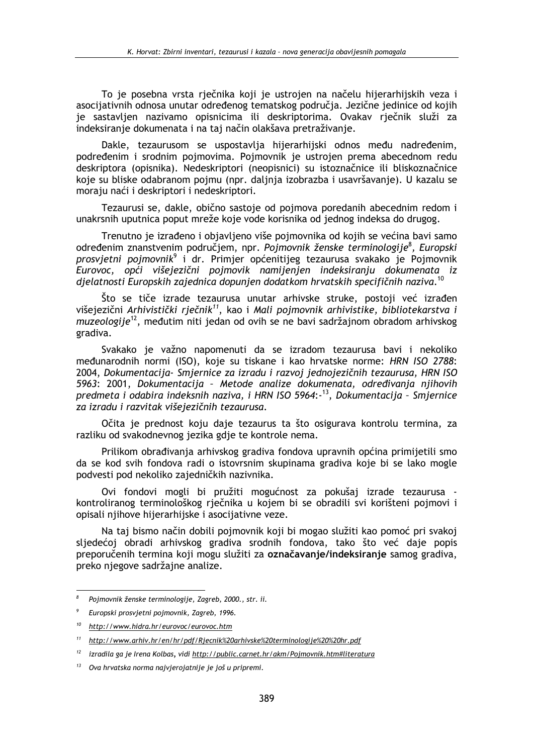To je posebna vrsta rječnika koji je ustrojen na načelu hijerarhijskih veza j asocijativnih odnosa unutar određenog tematskog područia. Jezične jedinice od kojih je sastavljen nazivamo opisnicima ili deskriptorima. Ovakav riečnik služi za indeksiranje dokumenata i na taj način olakšava pretraživanje.

Dakle, tezaurusom se uspostavlja hijerarhijski odnos među nadređenim. podređenim i srodnim pojmovima. Pojmovnik je ustrojen prema abecednom redu deskriptora (opisnika). Nedeskriptori (neopisnici) su istoznačnice ili bliskoznačnice koje su bliske odabranom pojmu (npr. daljnja izobrazba i usavršavanje). U kazalu se moraju naći i deskriptori i nedeskriptori.

Tezaurusi se, dakle, obično sastoje od pojmova poredanih abecednim redom i unakrsnih uputnica poput mreže koje vode korisnika od jednog indeksa do drugog.

Trenutno je izrađeno i objavljeno više pojmovnika od kojih se većina bavi samo određenim znanstvenim područjem, npr. Pojmovnik ženske terminologije<sup>8</sup>, Europski prosvjetni pojmovnik<sup>9</sup> i dr. Primjer općenitijeg tezaurusa svakako je Pojmovnik Eurovoc, opći višejezični pojmovik namijenjen indeksiranju dokumenata iz djelatnosti Europskih zajednica dopunjen dodatkom hrvatskih specifičnih naziva.<sup>10</sup>

Što se tiče izrade tezaurusa unutar arhivske struke, postoji već izrađen višejezični Arhivistički rječnik<sup>11</sup>, kao i Mali pojmovnik arhivistike, bibliotekarstva i muzeologije<sup>12</sup>, međutim niti jedan od ovih se ne bavi sadržajnom obradom arhivskog gradiva.

Svakako je važno napomenuti da se izradom tezaurusa bavi i nekoliko međunarodnih normi (ISO), koje su tiskane i kao hrvatske norme: HRN ISO 2788: 2004, Dokumentacija- Smjernice za izradu i razvoj jednojezičnih tezaurusa, HRN ISO 5963: 2001, Dokumentacija - Metode analize dokumenata, određivanja njihovih predmeta i odabira indeksnih naziva, i HRN ISO 5964:-<sup>13</sup>, Dokumentacija - Smjernice za izradu i razvitak višejezičnih tezaurusa.

Očita je prednost koju daje tezaurus ta što osigurava kontrolu termina, za razliku od svakodnevnog jezika gdje te kontrole nema.

Prilikom obrađivania arhivskog gradiva fondova upravnih općina primijetili smo da se kod svih fondova radi o istovrsnim skupinama gradiva koje bi se lako mogle podvesti pod nekoliko zajedničkih nazivnika.

Ovi fondovi mogli bi pružiti mogućnost za pokušaj izrade tezaurusa kontroliranog terminološkog rječnika u kojem bi se obradili svi korišteni pojmovi i opisali njihove hijerarhijske i asocijativne veze.

Na taj bismo način dobili pojmovnik koji bi mogao služiti kao pomoć pri svakoj sljedećoj obradi arhivskog gradiva srodnih fondova, tako što već daje popis preporučenih termina koji mogu služiti za označavanje/indeksiranje samog gradiva, preko njegove sadržajne analize.

Pojmovnik ženske terminologije, Zagreb, 2000., str. ii.

Europski prosvjetni pojmovnik, Zagreb, 1996.

<sup>&</sup>lt;sup>10</sup> http://www.hidra.hr/eurovoc/eurovoc.htm

 $11$ http://www.arhiv.hr/en/hr/pdf/Rjecnik%20arhivske%20terminologije%20%20hr.pdf

 $12$  izradila ga je Irena Kolbas, vidi http://public.carnet.hr/akm/Pojmovnik.htm#literatura

<sup>&</sup>lt;sup>13</sup> Ova hrvatska norma najvjerojatnije je još u pripremi.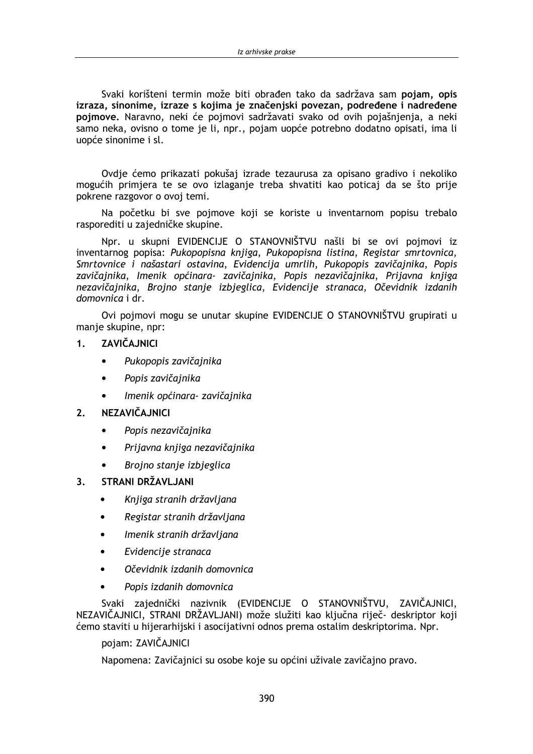Svaki korišteni termin može biti obrađen tako da sadržava sam pojam, opis izraza, sinonime, izraze s kojima je značeniski povezan, podređene i nadređene poimove. Naravno, neki će poimovi sadržavati svako od ovih pojašnjenja, a neki samo neka, ovisno o tome je li, npr., pojam uopće potrebno dodatno opisati, ima li uopće sinonime i sl.

Ovdje ćemo prikazati pokušaj izrade tezaurusa za opisano gradivo i nekoliko mogućih primjera te se ovo izlaganje treba shvatiti kao poticaj da se što prije pokrene razgovor o ovoj temi.

Na početku bi sve pojmove koji se koriste u inventarnom popisu trebalo rasporediti u zajedničke skupine.

Npr. u skupni EVIDENCIJE O STANOVNIŠTVU našli bi se ovi pojmovi iz inventarnog popisa: Pukopopisna knjiga, Pukopopisna listina, Registar smrtovnica, Smrtovnice i našastari ostavina, Evidencija umrlih, Pukopopis zavičajnika, Popis zavičajnika, Imenik općinara- zavičajnika, Popis nezavičajnika, Prijavna knjiga nezavičajnika, Brojno stanje izbjeglica, Evidencije stranaca, Očevidnik izdanih domovnica i dr.

Ovi pojmovi mogu se unutar skupine EVIDENCIJE O STANOVNIŠTVU grupirati u manje skupine, npr:

#### ZAVIČAJNICI  $1<sub>1</sub>$

- Pukopopis zavičajnika
- Popis zavičajnika  $\bullet$
- Imenik općinara- zavičajnika

#### **NEZAVIČAJNICI**  $2<sub>1</sub>$

- Popis nezavičajnika
- Prijavna knjiga nezavičajnika  $\bullet$
- Brojno stanje izbjeglica

#### STRANI DRŽAVLJANI  $3<sub>1</sub>$

- Knjiga stranih državljana  $\bullet$
- Registar stranih državljana  $\bullet$
- Imenik stranih državljana
- Evidencije stranaca
- Očevidnik izdanih domovnica
- Popis izdanih domovnica

Svaki zajednički nazivnik (EVIDENCIJE O STANOVNIŠTVU, ZAVIČAJNICI, NEZAVIČAJNICI, STRANI DRŽAVLJANI) može služiti kao ključna riječ- deskriptor koji ćemo staviti u hijerarhijski i asocijativni odnos prema ostalim deskriptorima. Npr.

### pojam: ZAVIČAJNICI

Napomena: Zavičajnici su osobe koje su općini uživale zavičajno pravo.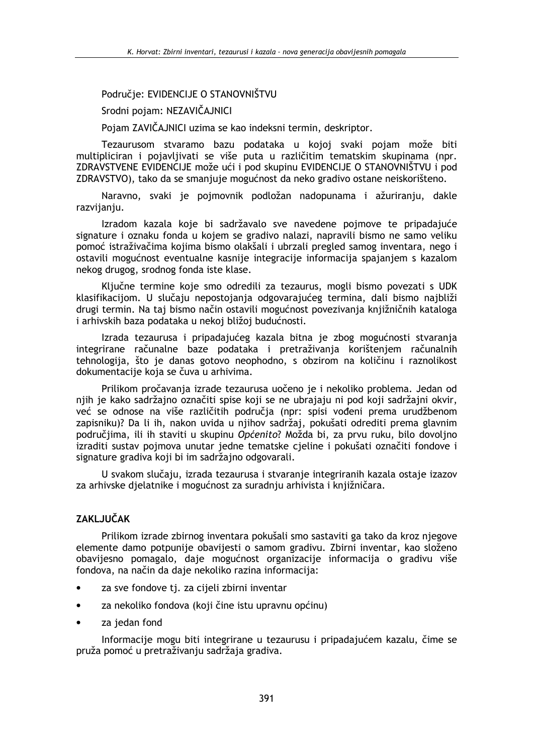## Područie: EVIDENCIJE O STANOVNIŠTVU

Srodni pojam: NEZAVIČAJNICI

Pojam ZAVIČAJNICI uzima se kao indeksni termin, deskriptor.

Tezaurusom stvaramo bazu podataka u kojoj svaki pojam može biti multipliciran i pojavljivati se više puta u različitim tematskim skupinama (npr. ZDRAVSTVENE EVIDENCIJE može ući i pod skupinu EVIDENCIJE O STANOVNIŠTVU i pod ZDRAVSTVO), tako da se smanjuje mogućnost da neko gradivo ostane neiskorišteno.

Naravno, svaki je pojmovnik podložan nadopunama i ažuriranju, dakle razvijanju.

Izradom kazala koje bi sadržavalo sve navedene pojmove te pripadajuće signature i oznaku fonda u kojem se gradivo nalazi, napravili bismo ne samo veliku pomoć istraživačima kojima bismo olakšali i ubrzali pregled samog inventara, nego i ostavili mogućnost eventualne kasnije integracije informacija spajanjem s kazalom nekog drugog, srodnog fonda iste klase.

Ključne termine koje smo odredili za tezaurus, mogli bismo povezati s UDK klasifikacijom. U slučaju nepostojanja odgovarajućeg termina, dali bismo najbliži drugi termin. Na taj bismo način ostavili mogućnost povezivanja knjižničnih kataloga i arhivskih baza podataka u nekoj bližoj budućnosti.

Izrada tezaurusa i pripadajućeg kazala bitna je zbog mogućnosti stvaranja integrirane računalne baze podataka i pretraživanja korištenjem računalnih tehnologija, što je danas gotovo neophodno, s obzirom na količinu i raznolikost dokumentacije koja se čuva u arhivima.

Prilikom pročavanja izrade tezaurusa uočeno je i nekoliko problema. Jedan od nijh je kako sadržajno označiti spise koji se ne ubrajaju ni pod koji sadržajni okvir, već se odnose na više različitih područia (npr: spisi vođeni prema urudžbenom zapisniku)? Da li ih, nakon uvida u njihov sadržaj, pokušati odrediti prema glavnim područiima, ili ih staviti u skupinu Općenito? Možda bi, za prvu ruku, bilo dovoljno izraditi sustav pojmova unutar jedne tematske cjeline i pokušati označiti fondove i signature gradiva koji bi im sadržajno odgovarali.

U svakom slučaju, izrada tezaurusa i stvaranje integriranih kazala ostaje izazov za arhivske dielatnike i mogućnost za suradniu arhivista i kniižničara.

### **7AKI JUČAK**

Prilikom izrade zbirnog inventara pokušali smo sastaviti ga tako da kroz njegove elemente damo potpunije obavijesti o samom gradivu. Zbirni inventar, kao složeno obavijesno pomagalo, daje mogućnost organizacije informacija o gradivu više fondova, na način da daje nekoliko razina informacija:

- za sve fondove tj. za cijeli zbirni inventar
- za nekoliko fondova (koji čine istu upravnu općinu)
- za jedan fond

Informacije mogu biti integrirane u tezaurusu i pripadajućem kazalu, čime se pruža pomoć u pretraživanju sadržaja gradiva.